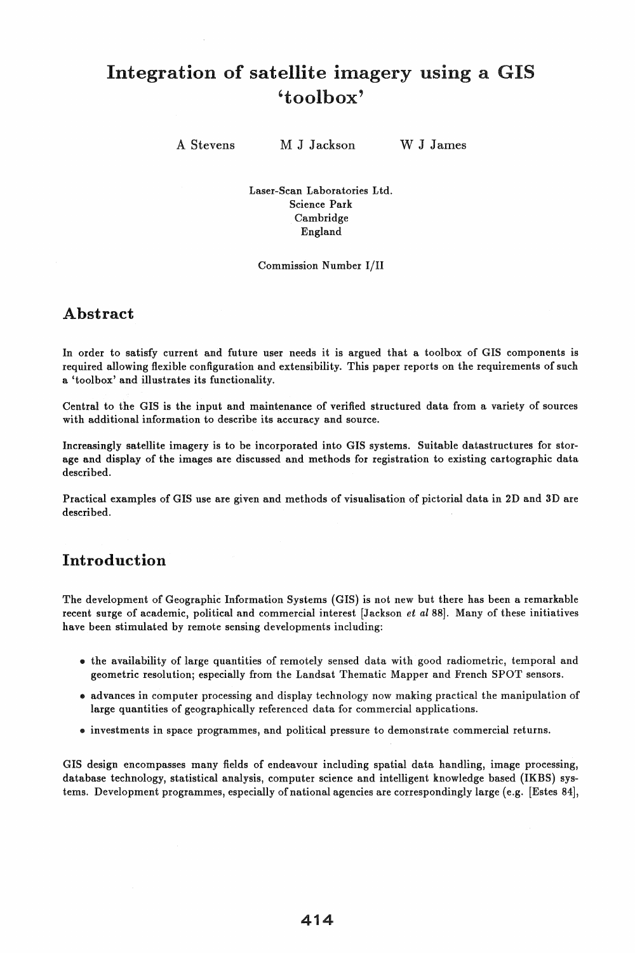# Integration of satellite imagery using a GIS 'toolbox'

A Stevens

M J Jackson

W J James

Laser-Scan Laboratories Ltd. Science Park Cambridge England

Commission Number I/II

## Abstract

In order to satisfy current and future user needs it is argued that a toolbox of GIS components is required allowing flexible configuration and extensibility. This paper reports on the requirements of such a 'toolbox' and illustrates its functionality.

Central to the GIS is the input and maintenance of verified structured data from a variety of sources with additional information to describe its accuracy and source.

Increasingly satellite imagery is to be incorporated into GIS systems. Suitable datastructures for storage and display of the images are discussed and methods for registration to existing cartographic data described.

Practical examples of GIS use are given and methods of visualisation of pictorial data in 2D and 3D are described.

# Introduction

The development of Geographic Information Systems (GIS) is not new but there has been a remarkable recent surge of academic, political and commercial interest [Jackson *et al* 88]. Many of these initiatives have been stimulated by remote sensing developments including:

- the availability of large quantities of remotely sensed data with good radiometric, temporal and geometric resolution; especially from the Landsat Thematic Mapper and French SPOT sensors.
- advances in computer processing and display technology now making practical the manipulation of large quantities of geographically referenced data for commercial applications.
- investments in space programmes, and political pressure to demonstrate commercial returns.

GIS design encompasses many fields of endeavour including spatial data handling, image processing, database technology, statistical analysis, computer science and intelligent knowledge based (IKBS) systems. Development programmes, especially of national agencies are correspondingly large (e.g. [Estes 84],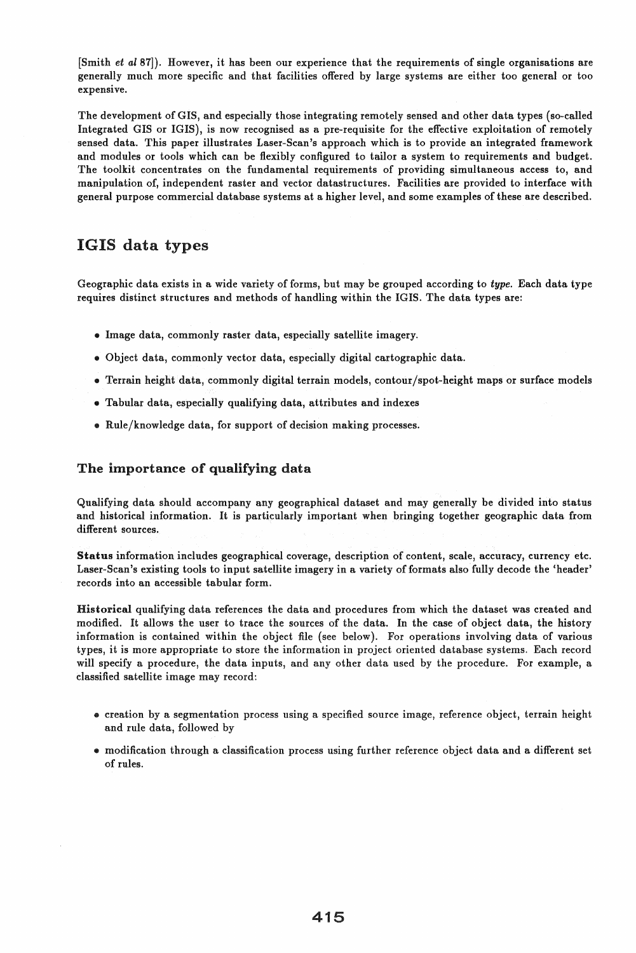[Smith *et al87]).* However, it has been our experience that the requirements of single organisations are generally much more specific and that facilities offered by large systems are either too general or too expensive.

The development of GIS, and especially those integrating remotely sensed and other data types (so-called Integrated GIS or IGIS), is now recognised as a pre-requisite for the effective exploitation of remotely sensed data. This paper illustrates Laser-Scan's approach which is to provide an integrated framework and modules or tools which can be flexibly configured to tailor a system to requirements and budget. The toolkit concentrates on the fundamental requirements of providing simultaneous access to, and manipulation of, independent raster and vector datastructures. Facilities are provided to interface with general purpose commercial database systems at a higher level, and some examples of these are described.

## IGIS data types

Geographic data exists in a wide variety of forms, but may be grouped according to *type.* Each data type requires distinct structures and methods of handling within the IGIS. The data types are:

- Image data, commonly raster data, especially satellite imagery.
- Object data, commonly vector data, especially digital cartographic data.
- Terrain height data, commonly digital terrain models, contour/spot-height maps or surface models
- Tabular data, especially qualifying data, attributes and indexes
- Rule/knowledge data, for support of decision making processes.

#### The importance of qualifying data

Qualifying data should accompany any geographical dataset and may generally be divided into status and historical information. It is particularly important when bringing together geographic data from different sources.

Status information includes geographical coverage, description of content, scale, accuracy, currency etc. Laser-Scan's existing tools to input satellite imagery in a variety of formats also fully decode the 'header' records into an accessible tabular form.

Historical qualifying data references the data and procedures from which the dataset was created and modified. It allows the user to trace the sources of the data. In the case of object data, the history information is contained within the object file (see below). For operations involving data of various types, it is more appropriate to store the information in project oriented database systems. Each record will specify a procedure, the data inputs, and any other data used by the procedure. For example, a classified satellite image may record:

- creation by a segmentation process using a specified source image, reference object, terrain height and rule data, followed by
- modification through a classification process using further reference object data and a different set of rules.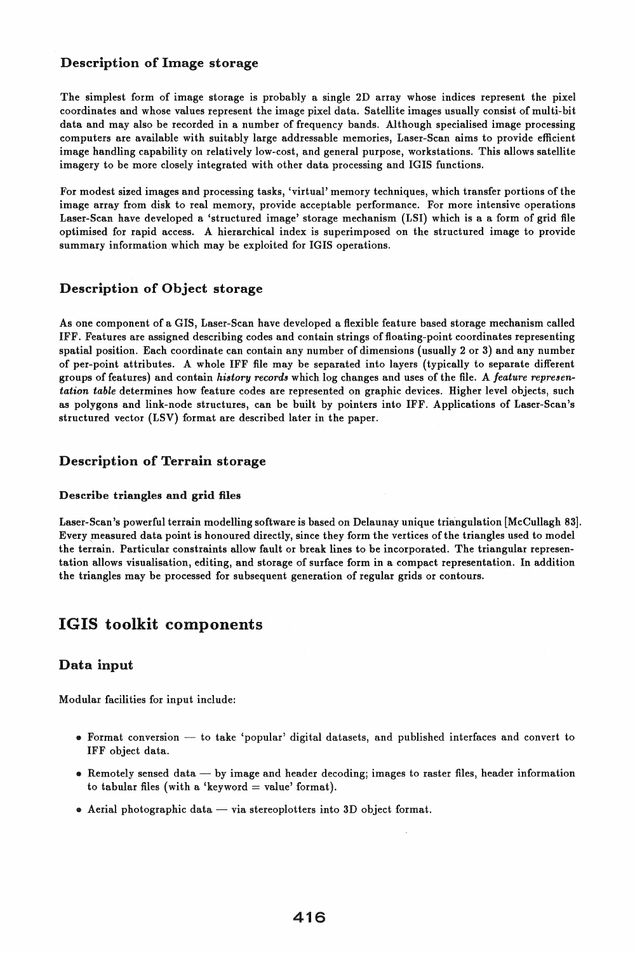#### Description of Image storage

The simplest form of image storage is probably a single 2D array whose indices represent the pixel coordinates and whose values represent the image pixel data. Satellite images usually consist of multi-bit data and may also be recorded in a number of frequency bands. Although specialised image processing computers are available with suitably large addressable memories, Laser-Scan aims to provide efficient image handling capability on relatively low-cost, and general purpose, workstations. This allows satellite imagery to be more closely integrated with other data processing and IGIS functions.

For modest sized images and processing tasks, 'virtual' memory techniques, which transfer portions of the image array from disk to real memory, provide acceptable performance. For more intensive operations Laser-Scan have developed a 'structured image' storage mechanism (LSI) which is a a form of grid file optimised for rapid access. A hierarchical index is superimposed on the structured image to provide summary information.which may be exploited for IGIS operations.

#### Description of Object storage

As one component of a GIS, Laser-Scan have developed a flexible feature based storage mechanism called IFF. Features are assigned describing codes and contain strings of floating-point coordinates representing spatial position. Each coordinate can contain any number of dimensions (usually 2 or 3) and any number of per-point attributes. A whole IFF file may be separated into layers (typically to separate different groups of features) and contain *history records* which log changes and uses of the file. A *feature representation table* determines how feature codes are represented on graphic devices. Higher level objects, such as polygons and link-node structures, can be built by pointers into IFF. Applications of Laser-Scan's structured vector (LSV) format are described later in the paper.

#### Description of Terrain storage

#### Describe triangles and grid files

Laser-Scan's powerful terrain modelling software is based on Delaunay unique triangulation [McCullagh 83]. Every measured data point is honoured directly, since they form the vertices of the triangles used to model the terrain. Particular constraints allow fault or break lines to be incorporated. The triangular representation allows visualisation, editing, and storage of surface form in a compact representation. In addition the triangles may be processed for subsequent generation of regular grids or contours.

# IGIS toolkit components

## Data input

Modular facilities for input include:

- .. Format conversion to take 'popular' digital datasets, and published interfaces and convert to IFF object data.
- .. Remotely sensed data by image and header decoding; images to raster files, header information to tabular files (with a 'keyword = value' format).
- $\bullet$  Aerial photographic data via stereoplotters into 3D object format.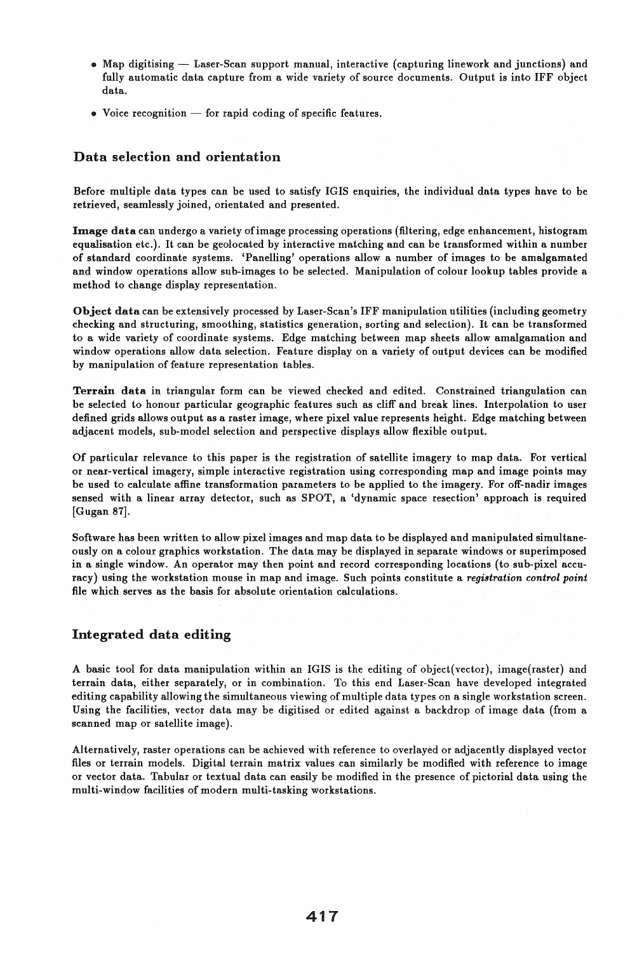- Map digitising Laser-Scan support manual, interactive (capturing linework and junctions) and fully automatic data capture from a wide variety of source documents. Output is into IFF object data.
- $\bullet$  Voice recognition for rapid coding of specific features.

#### Data selection and orientation

Before multiple data types can be used to satisfy IGIS enquiries, the individual data types have to be retrieved, seamlessly joined, orientated and presented.

Image data can undergo a variety ofimage processing operations (filtering, edge enhancement, histogram equalisation etc.). It can be geolocated by interactive matching and can be transformed within a number of standard coordinate systems. 'Panelling' operations allow a number of images to be amalgamated and window operations allow sub-images to be selected. Manipulation of colour lookup tables provide a method to change display representation.

Object data can be extensively processed by Laser-Scan's IFF manipulation utilities (including geometry checking and structuring, smoothing, statistics generation, sorting and selection). It can be transformed to a wide variety of coordinate systems. Edge matching between map sheets allow amalgamation and window operations allow data selection. Feature display on a variety of output devices can be modified by manipulation of feature representation tables.

Terrain data in triangular form can be viewed checked and edited. Constrained triangulation can be selected to honour particular geographic features such as cliff and break lines. Interpolation to user defined grids allows output as a raster image, where pixel value represents height. Edge matching between adjacent models, sub-model selection and perspective displays allow flexible output.

Of particular relevance to this paper is the registration of satellite imagery to map data. For vertical or near-vertical imagery, simple interactive registration using corresponding map and image points may be used to calculate affine transformation parameters to be applied to the imagery. For off-nadir images sensed with a linear array detector, such as SPOT, a 'dynamic space resection' approach is required [Gugan 87].

Software has been written to allow pixel images and map data to be displayed and manipulated simultaneously on a colour graphics workstation. The data may be displayed in separate windows or superimposed in a single window. An operator may then point and record corresponding locations (to sub-pixel accuracy) using the workstation mouse in map and image. Such points constitute a *registration control point*  file which serves as the basis for absolute orientation calculations.

#### Integrated data editing

A basic tool for data manipulation within an IGIS is the editing of object(vector), image(raster) and terrain data, either separately, or in combination. To this end Laser-Scan have developed integrated editing capability allowing the simultaneous viewing of multiple data types on a single workstation screen. Using the facilities, vector data may be digitised or edited against a backdrop of image data (from a scanned map or satellite image).

Alternatively, raster operations can be achieved with reference to overlayed or adjacently displayed vector files or terrain models. Digital terrain matrix values can similarly be modified with reference to image or vector data. Tabular or textual data can easily be modified in the presence of pictorial data using the multi-window facilities of modern multi-tasking workstations.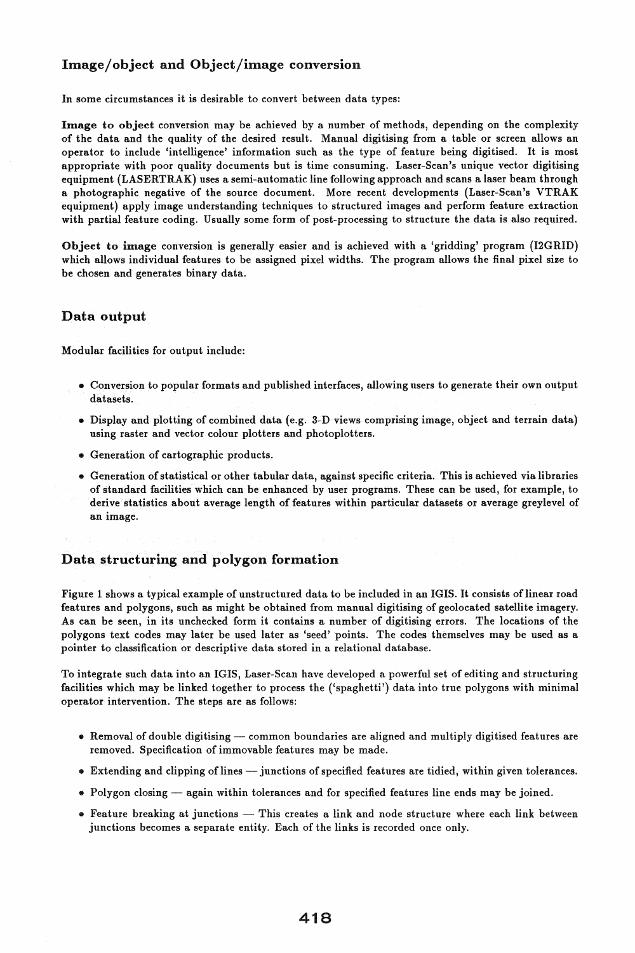#### Image/object and Object/image conversion

In some circumstances it is desirable to convert between data types:

Image to object conversion may be achieved by a number of methods, depending on the complexity of the data and the quality of the desired result. Manual digitising from a table or screen allows an operator to include 'intelligence' information such as the type of feature being digitised. It is most appropriate with poor quality documents but is time consuming. Laser-Scan's unique vector digitising equipment (LASERTRAK) uses a semi-automatic line following approach and scans a laser beam through a photographic negative of the source document. More recent developments (Laser-Scan's VTRAK equipment) apply image understanding techniques to structured images and perform feature extraction with partial feature coding. Usually some form of post-processing to structure the data is also required.

Object to image conversion is generally easier and is achieved with a 'gridding' program (I2GRID) which allows individual features to be assigned pixel widths. The program allows the final pixel size to be chosen and generates binary data.

#### Data output

Modular facilities for output include:

- Conversion to popular formats and published interfaces, allowing users to generate their own output datasets.
- Display and plotting of combined data (e.g. 3-D views comprising image, object and terrain data) using raster and vector colour plotters and photoplotters.
- Generation of cartographic products.
- Generation of statistical or other tabular data, against specific criteria. This is achieved via libraries of standard facilities which can be enhanced by user programs. These can be used, for example, to derive statistics about average length of features within particular datasets or average greylevel of an image.

#### Data structuring and polygon formation

Figure 1 shows a typical example of unstructured data to be included in an IGIS. It consists of linear road features and polygons, such as might be obtained from manual digitising of geolocated satellite imagery. As can be seen, in its unchecked form it contains a number of digitising errors. The locations of the polygons text codes may later be used later as 'seed' points. The codes themselves may be used as a pointer to classification or descriptive data stored in a relational database.

To integrate such data into an IGIS, Laser-Scan have developed a powerful set of editing and structuring facilities which may be linked together to process the ('spaghetti') data into true polygons with minimal operator intervention. The steps are as follows:

- Removal of double digitising common boundaries are aligned and multiply digitised features are removed. Specification of immovable features may be made.
- Extending and clipping of lines junctions of specified features are tidied, within given tolerances.
- Polygon closing again within tolerances and for specified features line ends may be joined.
- Feature breaking at junctions This creates a link and node structure where each link between junctions becomes a separate entity. Each of the links is recorded once only.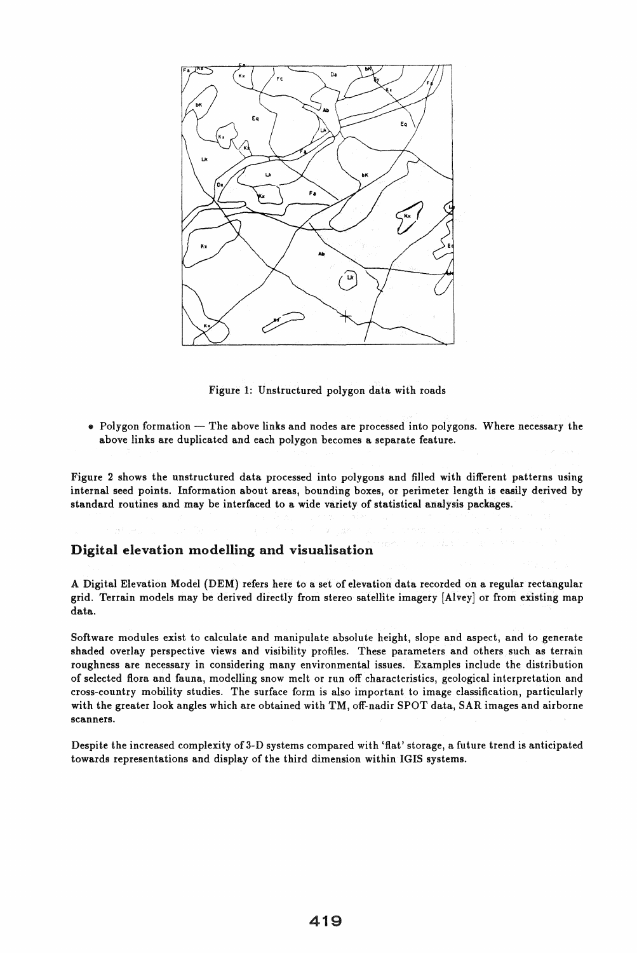

Figure 1: Unstructured polygon data with roads

 $\bullet$  Polygon formation  $-$  The above links and nodes are processed into polygons. Where necessary the above links are duplicated and each polygon becomes a separate feature.

Figure 2 shows the unstructured data processed into polygons and filled with different patterns using internal seed points. Information about areas, bounding boxes, or perimeter length is easily derived by standard routines and may be interfaced to a wide variety of statistical analysis packages.

#### Digital elevation modelling and visualisation

A Digital Elevation Model (DEM) refers here to a set of elevation data recorded on a regular rectangular grid. Terrain models may be derived directly from stereo satellite imagery [Alvey] or from existing map data.

Software modules exist to calculate and manipulate absolute height, slope and aspect, and to generate shaded overlay perspective views and visibility profiles. These parameters and others such as terrain roughness are necessary in considering many environmental issues. Examples include the distribution of selected flora and fauna, modelling snow melt or run off characteristics, geological interpretation and cross-country mobility studies. The surface form is also important to image classification, particularly with the greater look angles which are obtained with TM, off-nadir SPOT data, SAR images and airborne scanners.

Despite the increased complexity of 3-D systems compared with 'flat' storage, a future trend is anticipated towards representations and display of the third dimension within IGIS systems.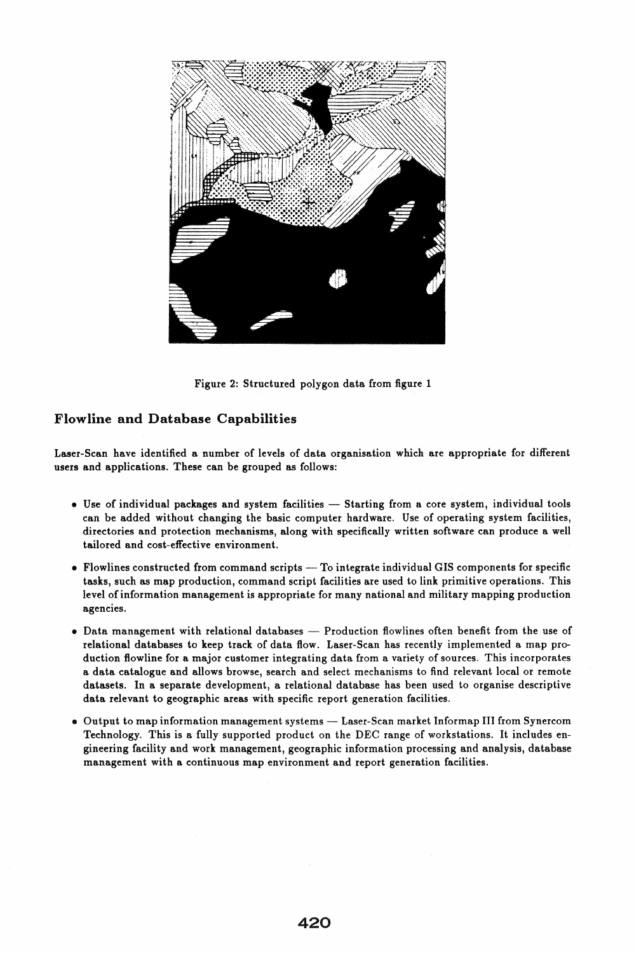

Figure 2: Structured polygon data from figure 1

#### Flowline and Database Capabilities

Laser-Scan have identified a number of levels of data organisation which are appropriate for different users and applications. These can be grouped as follows:

- Use of individual packages and system facilities Starting from a core system, individual tools can be added without changing the basic computer hardware. Use of operating system facilities, directories and protection mechanisms, along with specifically written software can produce a well tailored and cost-effective environment.
- Flowlines constructed from command scripts To integrate individual GIS components for specific tasks, such as map production, command script facilities are used to link primitive operations. This level of information management is appropriate for many national and military mapping production agencies.
- Data management with relational databases Production flowlines often benefit from the use of relational databases to keep track of data flow. Laser-Scan has recently implemented a map production flowline for a major customer integrating data from a variety of sources. This incorporates a data catalogue and allows browse, search and select mechanisms to find relevant local or remote datasets. In a separate development, a relational database has been used to organise descriptive data relevant to geographic areas with specific report generation facilities.
- Output to map information management systems Laser-Scan market Informap III from Synercom Technology. This is a fully supported product on the DEC range of workstations. It includes engineering facility and work management, geographic information processing and analysis, database management with a continuous map environment and report generation facilities.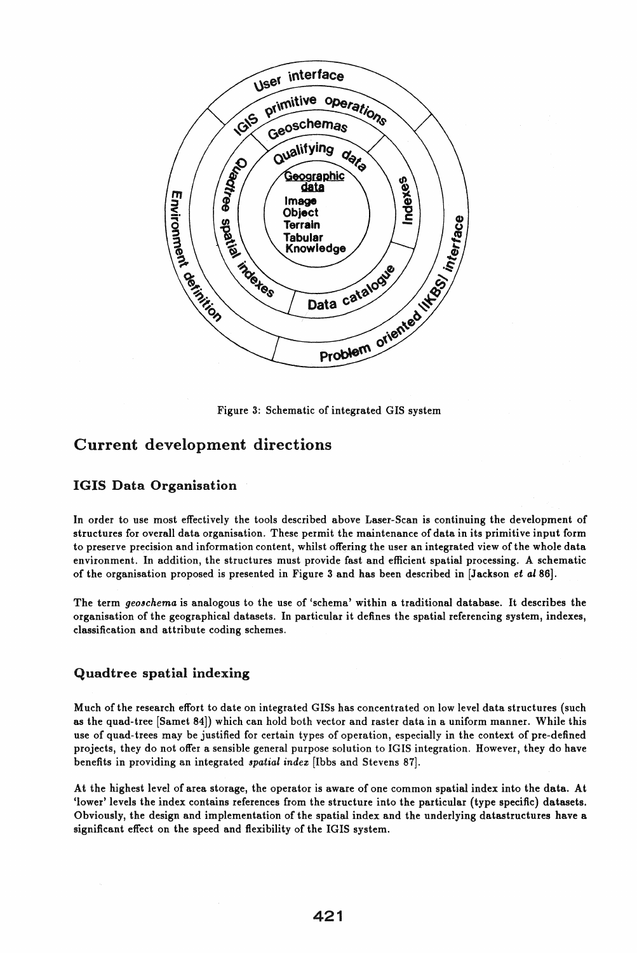

Figure 3: Schematic of integrated GIS system

# Current development directions

#### IGIS Data Organisation

In order to use most effectively the tools described above Laser-Scan is continuing the development of structures for overall data organisation. These permit the maintenance of data in its primitive input form to preserve precision and information content, whilst offering the user an integrated view of the whole data environment. In addition, the structures must provide fast and efficient spatial processing. A schematic of the organisation proposed is presented in Figure 3 and has been described in [Jackson et aI86].

The term *geoschema* is analogous to the use of 'schema' within a traditional database. It describes the organisation of the geographical datasets. In particular it defines the spatial referencing system, indexes, classification and attribute coding schemes.

#### Quadtree spatial indexing

Much of the research effort to date on integrated GISs has concentrated on low level data structures (such as the quad-tree [Samet 84]) which can hold both vector and raster data in a uniform manner. While this use of quad-trees may be justified for certain types of operation, especially in the context of pre-defined projects, they do not offer a sensible general purpose solution to IGIS integration. However, they do have benefits in providing an integrated *spatial indez* [Ibbs and Stevens 87].

At the highest level of area storage, the operator is aware of one common spatial index into the data. At 'lower' levels the index contains references from the structure into the particular (type specific) datasets. Obviously, the design and implementation of the spatial index and the underlying datastructures have a significant effect on the speed and flexibility of the IGIS system.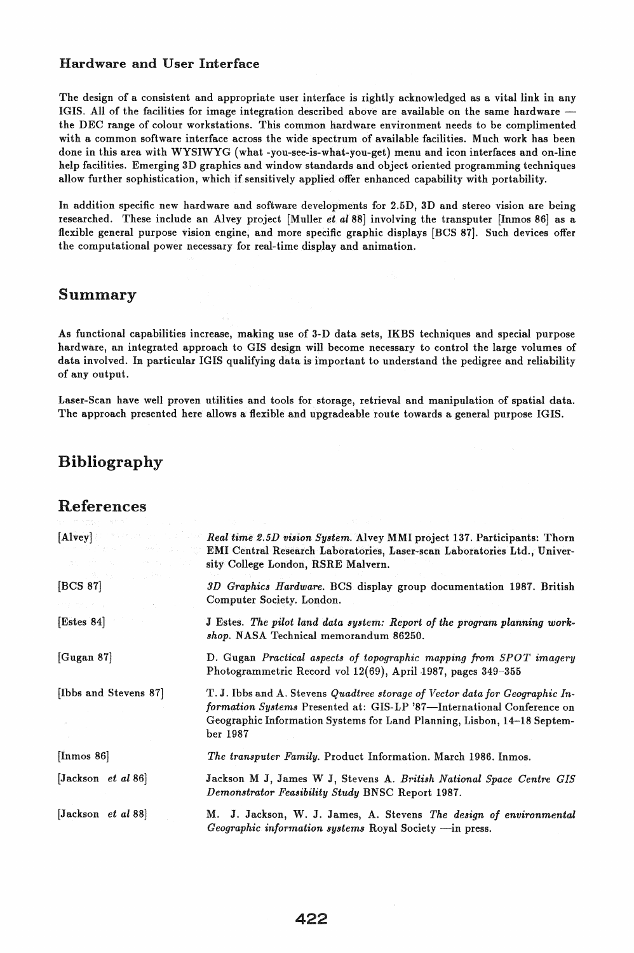#### Hardware and User Interface

The design of a consistent and appropriate user interface is rightly acknowledged as a vital link in any IGIS. All of the facilities for image integration described above are available on the same hardware the DEC range of colour workstations. This common hardware environment needs to be complimented with a common software interface across the wide spectrum of available facilities. Much work has been done in this area with WYSIWYG (what -you-see-is-what-you-get) menu and icon interfaces and on-line help facilities. Emerging 3D graphics and window standards and object oriented programming techniques allow further sophistication, which if sensitively applied offer enhanced capability with portability.

In addition specific new hardware and software developments for 2.5D, 3D and stereo vision are being researched. These include an Alvey project [Muller *et a188]* involving the transputer [Inmos 86] as a flexible general purpose vision engine, and more specific graphic displays [BCS 87]. Such devices offer the computational power necessary for real-time display and animation.

## Summary

As functional capabilities increase, making use of 3-D data sets, IKBS techniques and special purpose hardware, an integrated approach to GIS design will become necessary to control the large volumes of data involved. In particular IGIS qualifying data is important to understand the pedigree and reliability of any output.

Laser-Scan have well proven utilities and tools for storage, retrieval and manipulation of spatial data. The approach presented here allows a flexible and upgradeable route towards a general purpose IGIS.

# Bibliography

#### References

| [Alvey]                                         | Real time 2.5D vision System. Alvey MMI project 137. Participants: Thorn<br>EMI Central Research Laboratories, Laser-scan Laboratories Ltd., Univer-<br>sity College London, RSRE Malvern.                                                   |
|-------------------------------------------------|----------------------------------------------------------------------------------------------------------------------------------------------------------------------------------------------------------------------------------------------|
| [BCS 87]                                        | 3D Graphics Hardware. BCS display group documentation 1987. British<br>Computer Society. London.                                                                                                                                             |
| Estes 84                                        | J Estes. The pilot land data system: Report of the program planning work-<br>shop. NASA Technical memorandum 86250.                                                                                                                          |
| [Gugan 87]                                      | D. Gugan Practical aspects of topographic mapping from SPOT imagery<br>Photogrammetric Record vol 12(69), April 1987, pages 349-355                                                                                                          |
| [Ibbs and Stevens 87]                           | T.J. Ibbs and A. Stevens Quadtree storage of Vector data for Geographic In-<br>formation Systems Presented at: GIS-LP '87-International Conference on<br>Geographic Information Systems for Land Planning, Lisbon, 14-18 Septem-<br>ber 1987 |
| [Inmos $86$ ]                                   | The transputer Family. Product Information. March 1986. Inmos.                                                                                                                                                                               |
| $[Jackson \text{ } et \text{ } al \text{ } 86]$ | Jackson M J, James W J, Stevens A. British National Space Centre GIS<br>Demonstrator Feasibility Study BNSC Report 1987.                                                                                                                     |
| $ Jackson \text{ et } al 88 $                   | J. Jackson, W. J. James, A. Stevens The design of environmental<br>М.<br>Geographic information systems Royal Society -in press.                                                                                                             |